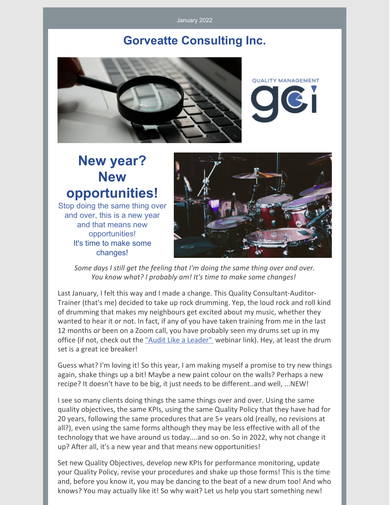January 2022

### **Gorveatte Consulting Inc.**



**QUALITY MANAGEMENT** 

# **New year? New opportunities!**

Stop doing the same thing over and over, this is a new year and that means new opportunities! It's time to make some changes!



*Some days I still get the feeling that I'm doing the same thing over and over. You know what? I probably am! It's time to make some changes!*

Last January, I felt this way and I made a change. This Quality Consultant-Auditor-Trainer (that's me) decided to take up rock drumming. Yep, the loud rock and roll kind of drumming that makes my neighbours get excited about my music, whether they wanted to hear it or not. In fact, if any of you have taken training from me in the last 12 months or been on a Zoom call, you have probably seen my drums set up in my office (if not, check out the "Audit Like a [Leader"](https://www.gorveatteconsulting.com/about.html) webinar link). Hey, at least the drum set is a great ice breaker!

Guess what? I'm loving it! So this year, I am making myself a promise to try new things again, shake things up a bit! Maybe a new paint colour on the walls? Perhaps a new recipe? It doesn't have to be big, it just needs to be different..and well, ...NEW!

I see so many clients doing things the same things over and over. Using the same quality objectives, the same KPIs, using the same Quality Policy that they have had for 20 years, following the same procedures that are 5+ years old (really, no revisions at all?), even using the same forms although they may be less effective with all of the technology that we have around us today....and so on. So in 2022, why not change it up? After all, it's a new year and that means new opportunities!

Set new Quality Objectives, develop new KPIs for performance monitoring, update your Quality Policy, revise your procedures and shake up those forms! This is the time and, before you know it, you may be dancing to the beat of a new drum too! And who knows? You may actually like it! So why wait? Let us help you start something new!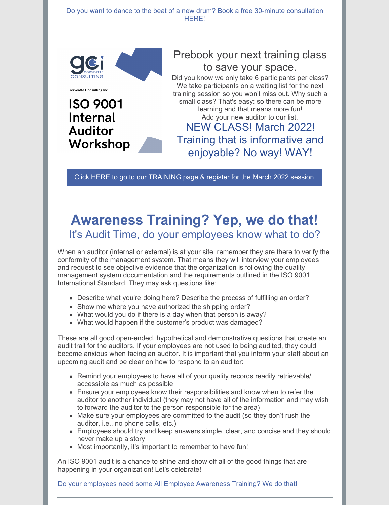Do you want to dance to the beat of a new drum? Book a free 30-minute [consultation](https://www.gorveatteconsulting.com/contact.html) HERE!



Gorveatte Consulting Inc.

**ISO 9001** 

**Internal** 

**Auditor** 

Workshop

Prebook your next training class to save your space.

Did you know we only take 6 participants per class? We take participants on a waiting list for the next training session so you won't miss out. Why such a small class? That's easy: so there can be more learning and that means more fun! Add your new auditor to our list. NEW CLASS! March 2022! Training that is informative and enjoyable? No way! WAY!

Click HERE to go to our [TRAINING](https://www.gorveatteconsulting.com/training.html) page & register for the March 2022 session

### **Awareness Training? Yep, we do that!** It's Audit Time, do your employees know what to do?

When an auditor (internal or external) is at your site, remember they are there to verify the conformity of the management system. That means they will interview your employees and request to see objective evidence that the organization is following the quality management system documentation and the requirements outlined in the ISO 9001 International Standard. They may ask questions like:

- Describe what you're doing here? Describe the process of fulfilling an order?
- Show me where you have authorized the shipping order?
- What would you do if there is a day when that person is away?
- What would happen if the customer's product was damaged?

These are all good open-ended, hypothetical and demonstrative questions that create an audit trail for the auditors. If your employees are not used to being audited, they could become anxious when facing an auditor. It is important that you inform your staff about an upcoming audit and be clear on how to respond to an auditor:

- Remind your employees to have all of your quality records readily retrievable/ accessible as much as possible
- Ensure your employees know their responsibilities and know when to refer the auditor to another individual (they may not have all of the information and may wish to forward the auditor to the person responsible for the area)
- Make sure your employees are committed to the audit (so they don't rush the auditor, i.e., no phone calls, etc.)
- Employees should try and keep answers simple, clear, and concise and they should never make up a story
- Most importantly, it's important to remember to have fun!

An ISO 9001 audit is a chance to shine and show off all of the good things that are happening in your organization! Let's celebrate!

Do your employees need some All Employee [Awareness](https://www.gorveatteconsulting.com/contact.html) Training? We do that!